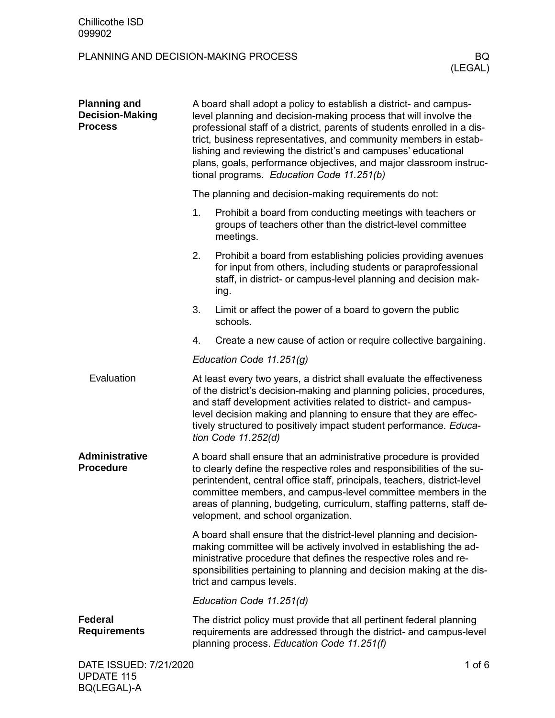BQ(LEGAL)-A

| <b>Planning and</b><br><b>Decision-Making</b><br><b>Process</b> | A board shall adopt a policy to establish a district- and campus-<br>level planning and decision-making process that will involve the<br>professional staff of a district, parents of students enrolled in a dis-<br>trict, business representatives, and community members in estab-<br>lishing and reviewing the district's and campuses' educational<br>plans, goals, performance objectives, and major classroom instruc-<br>tional programs. Education Code 11.251(b) |                                                                                                                                                                                                                                                                                                                                                                                      |          |  |  |
|-----------------------------------------------------------------|----------------------------------------------------------------------------------------------------------------------------------------------------------------------------------------------------------------------------------------------------------------------------------------------------------------------------------------------------------------------------------------------------------------------------------------------------------------------------|--------------------------------------------------------------------------------------------------------------------------------------------------------------------------------------------------------------------------------------------------------------------------------------------------------------------------------------------------------------------------------------|----------|--|--|
|                                                                 | The planning and decision-making requirements do not:                                                                                                                                                                                                                                                                                                                                                                                                                      |                                                                                                                                                                                                                                                                                                                                                                                      |          |  |  |
|                                                                 | 1.                                                                                                                                                                                                                                                                                                                                                                                                                                                                         | Prohibit a board from conducting meetings with teachers or<br>groups of teachers other than the district-level committee<br>meetings.                                                                                                                                                                                                                                                |          |  |  |
|                                                                 | 2.                                                                                                                                                                                                                                                                                                                                                                                                                                                                         | Prohibit a board from establishing policies providing avenues<br>for input from others, including students or paraprofessional<br>staff, in district- or campus-level planning and decision mak-<br>ing.                                                                                                                                                                             |          |  |  |
|                                                                 | 3.                                                                                                                                                                                                                                                                                                                                                                                                                                                                         | Limit or affect the power of a board to govern the public<br>schools.                                                                                                                                                                                                                                                                                                                |          |  |  |
|                                                                 | 4.                                                                                                                                                                                                                                                                                                                                                                                                                                                                         | Create a new cause of action or require collective bargaining.                                                                                                                                                                                                                                                                                                                       |          |  |  |
|                                                                 | Education Code 11.251(g)                                                                                                                                                                                                                                                                                                                                                                                                                                                   |                                                                                                                                                                                                                                                                                                                                                                                      |          |  |  |
| Evaluation                                                      |                                                                                                                                                                                                                                                                                                                                                                                                                                                                            | At least every two years, a district shall evaluate the effectiveness<br>of the district's decision-making and planning policies, procedures,<br>and staff development activities related to district- and campus-<br>level decision making and planning to ensure that they are effec-<br>tively structured to positively impact student performance. Educa-<br>tion Code 11.252(d) |          |  |  |
| <b>Administrative</b><br><b>Procedure</b>                       | A board shall ensure that an administrative procedure is provided<br>to clearly define the respective roles and responsibilities of the su-<br>perintendent, central office staff, principals, teachers, district-level<br>committee members, and campus-level committee members in the<br>areas of planning, budgeting, curriculum, staffing patterns, staff de-<br>velopment, and school organization.                                                                   |                                                                                                                                                                                                                                                                                                                                                                                      |          |  |  |
|                                                                 |                                                                                                                                                                                                                                                                                                                                                                                                                                                                            | A board shall ensure that the district-level planning and decision-<br>making committee will be actively involved in establishing the ad-<br>ministrative procedure that defines the respective roles and re-<br>sponsibilities pertaining to planning and decision making at the dis-<br>trict and campus levels.                                                                   |          |  |  |
|                                                                 | Education Code 11.251(d)                                                                                                                                                                                                                                                                                                                                                                                                                                                   |                                                                                                                                                                                                                                                                                                                                                                                      |          |  |  |
| <b>Federal</b><br><b>Requirements</b>                           |                                                                                                                                                                                                                                                                                                                                                                                                                                                                            | The district policy must provide that all pertinent federal planning<br>requirements are addressed through the district- and campus-level<br>planning process. Education Code 11.251(f)                                                                                                                                                                                              |          |  |  |
| DATE ISSUED: 7/21/2020<br><b>UPDATE 115</b>                     |                                                                                                                                                                                                                                                                                                                                                                                                                                                                            |                                                                                                                                                                                                                                                                                                                                                                                      | 1 of $6$ |  |  |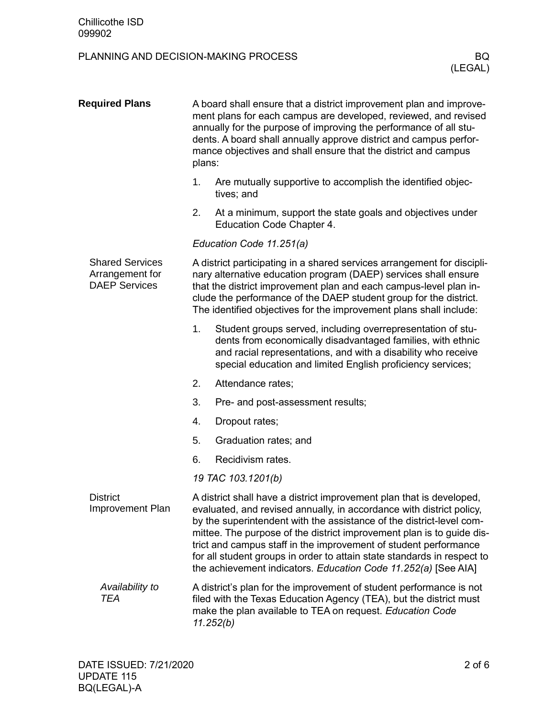| <b>Required Plans</b>                                             | A board shall ensure that a district improvement plan and improve-<br>ment plans for each campus are developed, reviewed, and revised<br>annually for the purpose of improving the performance of all stu-<br>dents. A board shall annually approve district and campus perfor-<br>mance objectives and shall ensure that the district and campus<br>plans:                                                                                                                                                    |  |  |  |  |  |
|-------------------------------------------------------------------|----------------------------------------------------------------------------------------------------------------------------------------------------------------------------------------------------------------------------------------------------------------------------------------------------------------------------------------------------------------------------------------------------------------------------------------------------------------------------------------------------------------|--|--|--|--|--|
|                                                                   | Are mutually supportive to accomplish the identified objec-<br>1.<br>tives; and                                                                                                                                                                                                                                                                                                                                                                                                                                |  |  |  |  |  |
|                                                                   | 2.<br>At a minimum, support the state goals and objectives under<br>Education Code Chapter 4.                                                                                                                                                                                                                                                                                                                                                                                                                  |  |  |  |  |  |
|                                                                   | Education Code 11.251(a)                                                                                                                                                                                                                                                                                                                                                                                                                                                                                       |  |  |  |  |  |
| <b>Shared Services</b><br>Arrangement for<br><b>DAEP Services</b> | A district participating in a shared services arrangement for discipli-<br>nary alternative education program (DAEP) services shall ensure<br>that the district improvement plan and each campus-level plan in-<br>clude the performance of the DAEP student group for the district.<br>The identified objectives for the improvement plans shall include:                                                                                                                                                     |  |  |  |  |  |
|                                                                   | 1.<br>Student groups served, including overrepresentation of stu-<br>dents from economically disadvantaged families, with ethnic<br>and racial representations, and with a disability who receive<br>special education and limited English proficiency services;                                                                                                                                                                                                                                               |  |  |  |  |  |
|                                                                   | 2.<br>Attendance rates;                                                                                                                                                                                                                                                                                                                                                                                                                                                                                        |  |  |  |  |  |
|                                                                   | 3.<br>Pre- and post-assessment results;                                                                                                                                                                                                                                                                                                                                                                                                                                                                        |  |  |  |  |  |
|                                                                   | 4.<br>Dropout rates;                                                                                                                                                                                                                                                                                                                                                                                                                                                                                           |  |  |  |  |  |
|                                                                   | 5.<br>Graduation rates; and                                                                                                                                                                                                                                                                                                                                                                                                                                                                                    |  |  |  |  |  |
|                                                                   | 6.<br>Recidivism rates.                                                                                                                                                                                                                                                                                                                                                                                                                                                                                        |  |  |  |  |  |
|                                                                   | 19 TAC 103.1201(b)                                                                                                                                                                                                                                                                                                                                                                                                                                                                                             |  |  |  |  |  |
| <b>District</b><br>Improvement Plan                               | A district shall have a district improvement plan that is developed,<br>evaluated, and revised annually, in accordance with district policy,<br>by the superintendent with the assistance of the district-level com-<br>mittee. The purpose of the district improvement plan is to guide dis-<br>trict and campus staff in the improvement of student performance<br>for all student groups in order to attain state standards in respect to<br>the achievement indicators. Education Code 11.252(a) [See AIA] |  |  |  |  |  |
| Availability to<br><b>TEA</b>                                     | A district's plan for the improvement of student performance is not<br>filed with the Texas Education Agency (TEA), but the district must<br>make the plan available to TEA on request. Education Code<br>11.252(b)                                                                                                                                                                                                                                                                                            |  |  |  |  |  |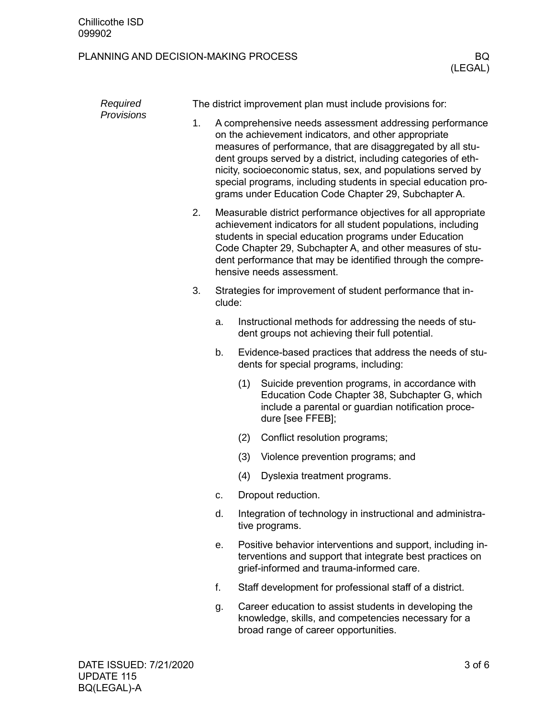| Required<br><b>Provisions</b> |    | The district improvement plan must include provisions for:                                                                                                                                                                                                                                                                                                                                                                                 |     |                                                                                                                                                                             |  |  |  |
|-------------------------------|----|--------------------------------------------------------------------------------------------------------------------------------------------------------------------------------------------------------------------------------------------------------------------------------------------------------------------------------------------------------------------------------------------------------------------------------------------|-----|-----------------------------------------------------------------------------------------------------------------------------------------------------------------------------|--|--|--|
|                               | 1. | A comprehensive needs assessment addressing performance<br>on the achievement indicators, and other appropriate<br>measures of performance, that are disaggregated by all stu-<br>dent groups served by a district, including categories of eth-<br>nicity, socioeconomic status, sex, and populations served by<br>special programs, including students in special education pro-<br>grams under Education Code Chapter 29, Subchapter A. |     |                                                                                                                                                                             |  |  |  |
|                               | 2. | Measurable district performance objectives for all appropriate<br>achievement indicators for all student populations, including<br>students in special education programs under Education<br>Code Chapter 29, Subchapter A, and other measures of stu-<br>dent performance that may be identified through the compre-<br>hensive needs assessment.                                                                                         |     |                                                                                                                                                                             |  |  |  |
|                               | 3. | clude:                                                                                                                                                                                                                                                                                                                                                                                                                                     |     | Strategies for improvement of student performance that in-                                                                                                                  |  |  |  |
|                               |    | a.                                                                                                                                                                                                                                                                                                                                                                                                                                         |     | Instructional methods for addressing the needs of stu-<br>dent groups not achieving their full potential.                                                                   |  |  |  |
|                               |    | b.                                                                                                                                                                                                                                                                                                                                                                                                                                         |     | Evidence-based practices that address the needs of stu-<br>dents for special programs, including:                                                                           |  |  |  |
|                               |    |                                                                                                                                                                                                                                                                                                                                                                                                                                            | (1) | Suicide prevention programs, in accordance with<br>Education Code Chapter 38, Subchapter G, which<br>include a parental or guardian notification proce-<br>dure [see FFEB]; |  |  |  |
|                               |    |                                                                                                                                                                                                                                                                                                                                                                                                                                            | (2) | Conflict resolution programs;                                                                                                                                               |  |  |  |
|                               |    |                                                                                                                                                                                                                                                                                                                                                                                                                                            | (3) | Violence prevention programs; and                                                                                                                                           |  |  |  |
|                               |    |                                                                                                                                                                                                                                                                                                                                                                                                                                            | (4) | Dyslexia treatment programs.                                                                                                                                                |  |  |  |
|                               |    | C.                                                                                                                                                                                                                                                                                                                                                                                                                                         |     | Dropout reduction.                                                                                                                                                          |  |  |  |
|                               |    | d.                                                                                                                                                                                                                                                                                                                                                                                                                                         |     | Integration of technology in instructional and administra-<br>tive programs.                                                                                                |  |  |  |
|                               |    | е.                                                                                                                                                                                                                                                                                                                                                                                                                                         |     | Positive behavior interventions and support, including in-<br>terventions and support that integrate best practices on<br>grief-informed and trauma-informed care.          |  |  |  |
|                               |    | f.                                                                                                                                                                                                                                                                                                                                                                                                                                         |     | Staff development for professional staff of a district.                                                                                                                     |  |  |  |
|                               |    | g.                                                                                                                                                                                                                                                                                                                                                                                                                                         |     | Career education to assist students in developing the<br>knowledge, skills, and competencies necessary for a<br>broad range of career opportunities.                        |  |  |  |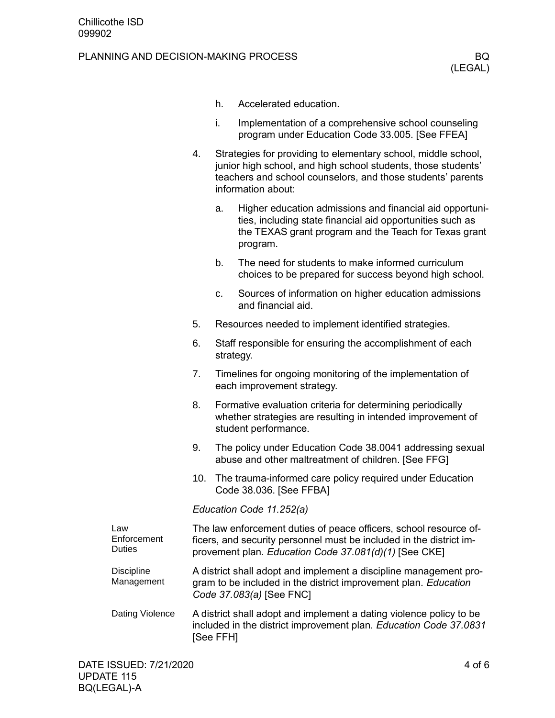#### PLANNING AND DECISION-MAKING PROCESS BOOK BOOK AND THE RESERVE THAT A RESERVE THAT A RESERVE THAT A RESERVE THAT A RESERVE THAT A RESERVE THAT A RESERVE THAT A RESERVE THAT A RESERVE THAT A RESERVE THAT A RESERVE THAT A RE

- h. Accelerated education.
- i. Implementation of a comprehensive school counseling program under Education Code 33.005. [See FFEA]
- 4. Strategies for providing to elementary school, middle school, junior high school, and high school students, those students' teachers and school counselors, and those students' parents information about:
	- a. Higher education admissions and financial aid opportunities, including state financial aid opportunities such as the TEXAS grant program and the Teach for Texas grant program.
	- b. The need for students to make informed curriculum choices to be prepared for success beyond high school.
	- c. Sources of information on higher education admissions and financial aid.
- 5. Resources needed to implement identified strategies.
- 6. Staff responsible for ensuring the accomplishment of each strategy.
- 7. Timelines for ongoing monitoring of the implementation of each improvement strategy.
- 8. Formative evaluation criteria for determining periodically whether strategies are resulting in intended improvement of student performance.
- 9. The policy under Education Code 38.0041 addressing sexual abuse and other maltreatment of children. [See FFG]
- 10. The trauma-informed care policy required under Education Code 38.036. [See FFBA]

*Education Code 11.252(a)*

| Law<br>Enforcement<br><b>Duties</b> | The law enforcement duties of peace officers, school resource of-<br>ficers, and security personnel must be included in the district im-<br>provement plan. Education Code 37.081(d)(1) [See CKE] |
|-------------------------------------|---------------------------------------------------------------------------------------------------------------------------------------------------------------------------------------------------|
| <b>Discipline</b><br>Management     | A district shall adopt and implement a discipline management pro-<br>gram to be included in the district improvement plan. Education<br>Code 37.083(a) [See FNC]                                  |
| Dating Violence                     | A district shall adopt and implement a dating violence policy to be<br>included in the district improvement plan. Education Code 37.0831<br>[See FFH]                                             |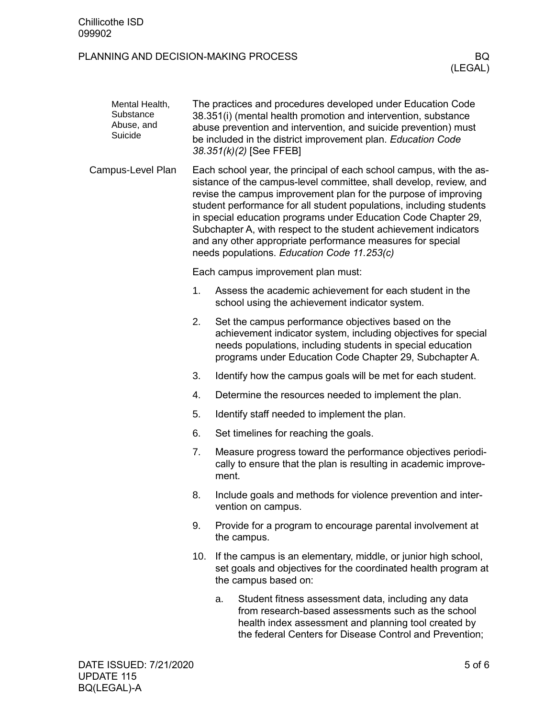| Mental Health,<br>Substance<br>Abuse, and<br>Suicide |     | The practices and procedures developed under Education Code<br>38.351(i) (mental health promotion and intervention, substance<br>abuse prevention and intervention, and suicide prevention) must<br>be included in the district improvement plan. Education Code<br>38.351(k)(2) [See FFEB]                                                                                                                                                                                                                                            |  |  |  |  |
|------------------------------------------------------|-----|----------------------------------------------------------------------------------------------------------------------------------------------------------------------------------------------------------------------------------------------------------------------------------------------------------------------------------------------------------------------------------------------------------------------------------------------------------------------------------------------------------------------------------------|--|--|--|--|
| Campus-Level Plan                                    |     | Each school year, the principal of each school campus, with the as-<br>sistance of the campus-level committee, shall develop, review, and<br>revise the campus improvement plan for the purpose of improving<br>student performance for all student populations, including students<br>in special education programs under Education Code Chapter 29,<br>Subchapter A, with respect to the student achievement indicators<br>and any other appropriate performance measures for special<br>needs populations. Education Code 11.253(c) |  |  |  |  |
|                                                      |     | Each campus improvement plan must:                                                                                                                                                                                                                                                                                                                                                                                                                                                                                                     |  |  |  |  |
|                                                      | 1.  | Assess the academic achievement for each student in the<br>school using the achievement indicator system.                                                                                                                                                                                                                                                                                                                                                                                                                              |  |  |  |  |
|                                                      | 2.  | Set the campus performance objectives based on the<br>achievement indicator system, including objectives for special<br>needs populations, including students in special education<br>programs under Education Code Chapter 29, Subchapter A.                                                                                                                                                                                                                                                                                          |  |  |  |  |
|                                                      | 3.  | Identify how the campus goals will be met for each student.                                                                                                                                                                                                                                                                                                                                                                                                                                                                            |  |  |  |  |
|                                                      | 4.  | Determine the resources needed to implement the plan.                                                                                                                                                                                                                                                                                                                                                                                                                                                                                  |  |  |  |  |
|                                                      | 5.  | Identify staff needed to implement the plan.                                                                                                                                                                                                                                                                                                                                                                                                                                                                                           |  |  |  |  |
|                                                      | 6.  | Set timelines for reaching the goals.                                                                                                                                                                                                                                                                                                                                                                                                                                                                                                  |  |  |  |  |
|                                                      | 7.  | Measure progress toward the performance objectives periodi-<br>cally to ensure that the plan is resulting in academic improve-<br>ment.                                                                                                                                                                                                                                                                                                                                                                                                |  |  |  |  |
|                                                      | 8.  | Include goals and methods for violence prevention and inter-<br>vention on campus.                                                                                                                                                                                                                                                                                                                                                                                                                                                     |  |  |  |  |
|                                                      | 9.  | Provide for a program to encourage parental involvement at<br>the campus.                                                                                                                                                                                                                                                                                                                                                                                                                                                              |  |  |  |  |
|                                                      | 10. | If the campus is an elementary, middle, or junior high school,<br>set goals and objectives for the coordinated health program at<br>the campus based on:                                                                                                                                                                                                                                                                                                                                                                               |  |  |  |  |
|                                                      |     | Student fitness assessment data, including any data<br>a.<br>from research-based assessments such as the school<br>health index assessment and planning tool created by<br>the federal Centers for Disease Control and Prevention;                                                                                                                                                                                                                                                                                                     |  |  |  |  |